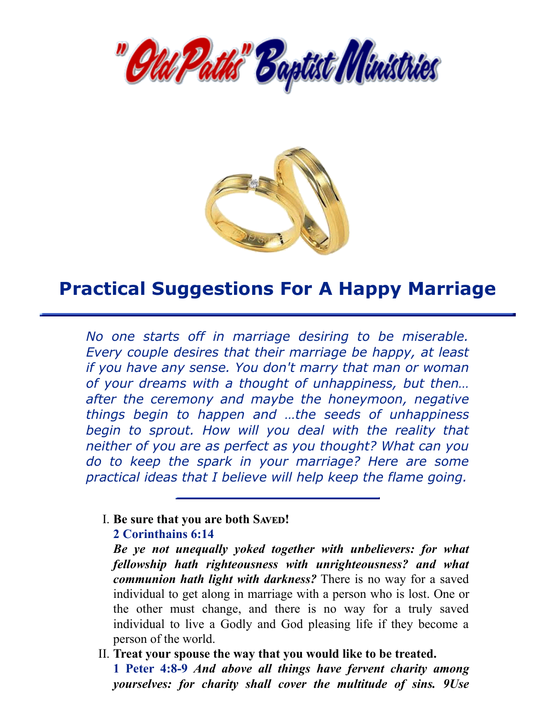



# **Practical Suggestions For A Happy Marriage**

*No one starts off in marriage desiring to be miserable. Every couple desires that their marriage be happy, at least if you have any sense. You don't marry that man or woman of your dreams with a thought of unhappiness, but then… after the ceremony and maybe the honeymoon, negative things begin to happen and …the seeds of unhappiness begin to sprout. How will you deal with the reality that neither of you are as perfect as you thought? What can you do to keep the spark in your marriage? Here are some practical ideas that I believe will help keep the flame going.*

#### $I.$  **Be** sure that you are both SAVED!

#### **2 Corinthains 6:14**

*Be ye not unequally yoked together with unbelievers: for what fellowship hath righteousness with unrighteousness? and what communion hath light with darkness?* There is no way for a saved individual to get along in marriage with a person who is lost. One or the other must change, and there is no way for a truly saved individual to live a Godly and God pleasing life if they become a person of the world.

II. **Treat your spouse the way that you would like to be treated. 1 Peter 4:8-9** *And above all things have fervent charity among yourselves: for charity shall cover the multitude of sins. 9Use*